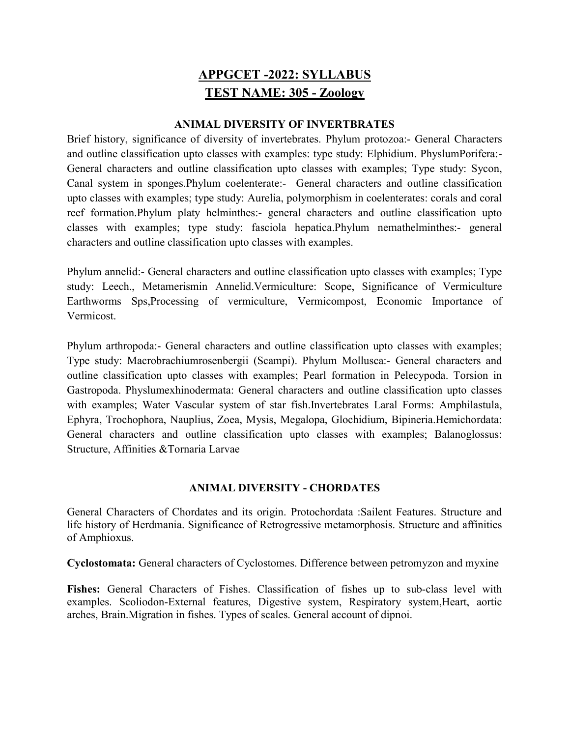# APPGCET -2022: SYLLABUS TEST NAME: 305 - Zoology

## ANIMAL DIVERSITY OF INVERTBRATES

Brief history, significance of diversity of invertebrates. Phylum protozoa:- General Characters and outline classification upto classes with examples: type study: Elphidium. PhyslumPorifera:- General characters and outline classification upto classes with examples; Type study: Sycon, Canal system in sponges.Phylum coelenterate:- General characters and outline classification upto classes with examples; type study: Aurelia, polymorphism in coelenterates: corals and coral reef formation.Phylum platy helminthes:- general characters and outline classification upto classes with examples; type study: fasciola hepatica.Phylum nemathelminthes:- general characters and outline classification upto classes with examples.

Phylum annelid:- General characters and outline classification upto classes with examples; Type study: Leech., Metamerismin Annelid.Vermiculture: Scope, Significance of Vermiculture Earthworms Sps,Processing of vermiculture, Vermicompost, Economic Importance of Vermicost.

Phylum arthropoda:- General characters and outline classification upto classes with examples; Type study: Macrobrachiumrosenbergii (Scampi). Phylum Mollusca:- General characters and outline classification upto classes with examples; Pearl formation in Pelecypoda. Torsion in Gastropoda. Physlumexhinodermata: General characters and outline classification upto classes with examples; Water Vascular system of star fish.Invertebrates Laral Forms: Amphilastula, Ephyra, Trochophora, Nauplius, Zoea, Mysis, Megalopa, Glochidium, Bipineria.Hemichordata: General characters and outline classification upto classes with examples; Balanoglossus: Structure, Affinities &Tornaria Larvae

# ANIMAL DIVERSITY - CHORDATES

General Characters of Chordates and its origin. Protochordata :Sailent Features. Structure and life history of Herdmania. Significance of Retrogressive metamorphosis. Structure and affinities of Amphioxus.

Cyclostomata: General characters of Cyclostomes. Difference between petromyzon and myxine

Fishes: General Characters of Fishes. Classification of fishes up to sub-class level with examples. Scoliodon-External features, Digestive system, Respiratory system,Heart, aortic arches, Brain.Migration in fishes. Types of scales. General account of dipnoi.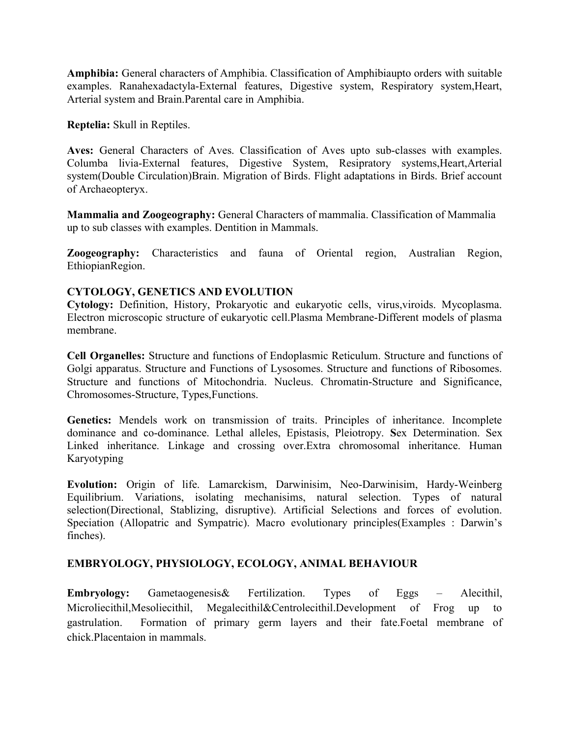Amphibia: General characters of Amphibia. Classification of Amphibiaupto orders with suitable examples. Ranahexadactyla-External features, Digestive system, Respiratory system,Heart, Arterial system and Brain.Parental care in Amphibia.

Reptelia: Skull in Reptiles.

Aves: General Characters of Aves. Classification of Aves upto sub-classes with examples. Columba livia-External features, Digestive System, Resipratory systems,Heart,Arterial system(Double Circulation)Brain. Migration of Birds. Flight adaptations in Birds. Brief account of Archaeopteryx.

Mammalia and Zoogeography: General Characters of mammalia. Classification of Mammalia up to sub classes with examples. Dentition in Mammals.

Zoogeography: Characteristics and fauna of Oriental region, Australian Region, EthiopianRegion.

# CYTOLOGY, GENETICS AND EVOLUTION

Cytology: Definition, History, Prokaryotic and eukaryotic cells, virus,viroids. Mycoplasma. Electron microscopic structure of eukaryotic cell.Plasma Membrane-Different models of plasma membrane.

Cell Organelles: Structure and functions of Endoplasmic Reticulum. Structure and functions of Golgi apparatus. Structure and Functions of Lysosomes. Structure and functions of Ribosomes. Structure and functions of Mitochondria. Nucleus. Chromatin-Structure and Significance, Chromosomes-Structure, Types,Functions.

Genetics: Mendels work on transmission of traits. Principles of inheritance. Incomplete dominance and co-dominance. Lethal alleles, Epistasis, Pleiotropy. Sex Determination. Sex Linked inheritance. Linkage and crossing over.Extra chromosomal inheritance. Human Karyotyping

Evolution: Origin of life. Lamarckism, Darwinisim, Neo-Darwinisim, Hardy-Weinberg Equilibrium. Variations, isolating mechanisims, natural selection. Types of natural selection(Directional, Stablizing, disruptive). Artificial Selections and forces of evolution. Speciation (Allopatric and Sympatric). Macro evolutionary principles(Examples : Darwin's finches).

# EMBRYOLOGY, PHYSIOLOGY, ECOLOGY, ANIMAL BEHAVIOUR

Embryology: Gametaogenesis& Fertilization. Types of Eggs – Alecithil, Microliecithil,Mesoliecithil, Megalecithil&Centrolecithil.Development of Frog up to gastrulation. Formation of primary germ layers and their fate.Foetal membrane of chick.Placentaion in mammals.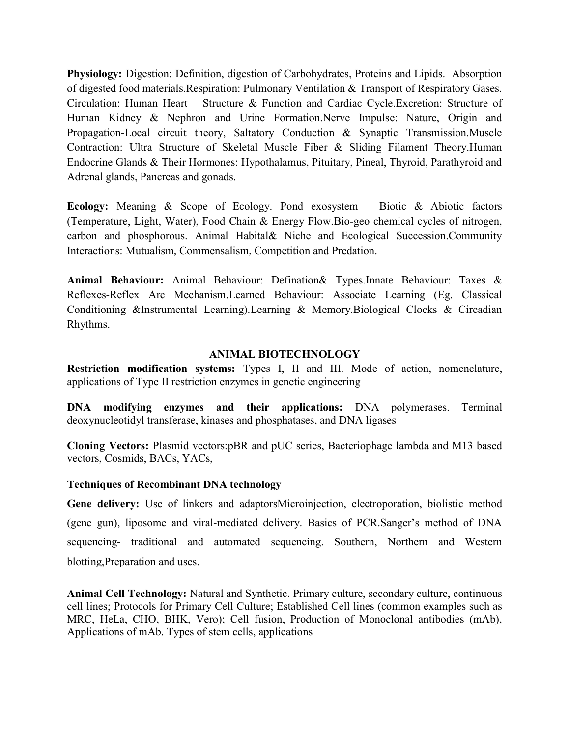Physiology: Digestion: Definition, digestion of Carbohydrates, Proteins and Lipids. Absorption of digested food materials.Respiration: Pulmonary Ventilation & Transport of Respiratory Gases. Circulation: Human Heart – Structure & Function and Cardiac Cycle.Excretion: Structure of Human Kidney & Nephron and Urine Formation.Nerve Impulse: Nature, Origin and Propagation-Local circuit theory, Saltatory Conduction & Synaptic Transmission.Muscle Contraction: Ultra Structure of Skeletal Muscle Fiber & Sliding Filament Theory.Human Endocrine Glands & Their Hormones: Hypothalamus, Pituitary, Pineal, Thyroid, Parathyroid and Adrenal glands, Pancreas and gonads.

Ecology: Meaning & Scope of Ecology. Pond exosystem – Biotic & Abiotic factors (Temperature, Light, Water), Food Chain & Energy Flow.Bio-geo chemical cycles of nitrogen, carbon and phosphorous. Animal Habital& Niche and Ecological Succession.Community Interactions: Mutualism, Commensalism, Competition and Predation.

Animal Behaviour: Animal Behaviour: Defination& Types.Innate Behaviour: Taxes & Reflexes-Reflex Arc Mechanism.Learned Behaviour: Associate Learning (Eg. Classical Conditioning &Instrumental Learning).Learning & Memory.Biological Clocks & Circadian Rhythms.

## ANIMAL BIOTECHNOLOGY

Restriction modification systems: Types I, II and III. Mode of action, nomenclature, applications of Type II restriction enzymes in genetic engineering

DNA modifying enzymes and their applications: DNA polymerases. Terminal deoxynucleotidyl transferase, kinases and phosphatases, and DNA ligases

Cloning Vectors: Plasmid vectors:pBR and pUC series, Bacteriophage lambda and M13 based vectors, Cosmids, BACs, YACs,

#### Techniques of Recombinant DNA technology

Gene delivery: Use of linkers and adaptorsMicroinjection, electroporation, biolistic method (gene gun), liposome and viral-mediated delivery. Basics of PCR.Sanger's method of DNA sequencing- traditional and automated sequencing. Southern, Northern and Western blotting,Preparation and uses.

Animal Cell Technology: Natural and Synthetic. Primary culture, secondary culture, continuous cell lines; Protocols for Primary Cell Culture; Established Cell lines (common examples such as MRC, HeLa, CHO, BHK, Vero); Cell fusion, Production of Monoclonal antibodies (mAb), Applications of mAb. Types of stem cells, applications